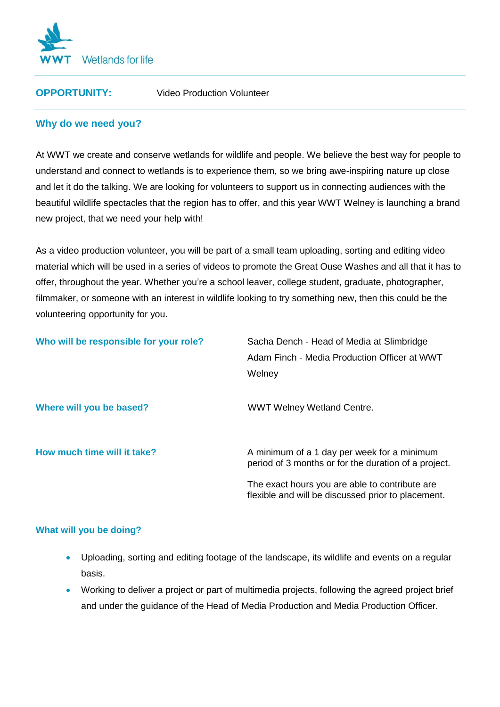

**OPPORTUNITY:** Video Production Volunteer

# **Why do we need you?**

At WWT we create and conserve wetlands for wildlife and people. We believe the best way for people to understand and connect to wetlands is to experience them, so we bring awe-inspiring nature up close and let it do the talking. We are looking for volunteers to support us in connecting audiences with the beautiful wildlife spectacles that the region has to offer, and this year WWT Welney is launching a brand new project, that we need your help with!

As a video production volunteer, you will be part of a small team uploading, sorting and editing video material which will be used in a series of videos to promote the Great Ouse Washes and all that it has to offer, throughout the year. Whether you're a school leaver, college student, graduate, photographer, filmmaker, or someone with an interest in wildlife looking to try something new, then this could be the volunteering opportunity for you.

| Who will be responsible for your role? | Sacha Dench - Head of Media at Slimbridge<br>Adam Finch - Media Production Officer at WWT<br>Welney                                                   |
|----------------------------------------|-------------------------------------------------------------------------------------------------------------------------------------------------------|
| Where will you be based?               | <b>WWT Welney Wetland Centre.</b>                                                                                                                     |
| How much time will it take?            | A minimum of a 1 day per week for a minimum<br>period of 3 months or for the duration of a project.<br>The exact hours you are able to contribute are |
|                                        | flexible and will be discussed prior to placement.                                                                                                    |

## **What will you be doing?**

- Uploading, sorting and editing footage of the landscape, its wildlife and events on a regular basis.
- Working to deliver a project or part of multimedia projects, following the agreed project brief and under the guidance of the Head of Media Production and Media Production Officer.